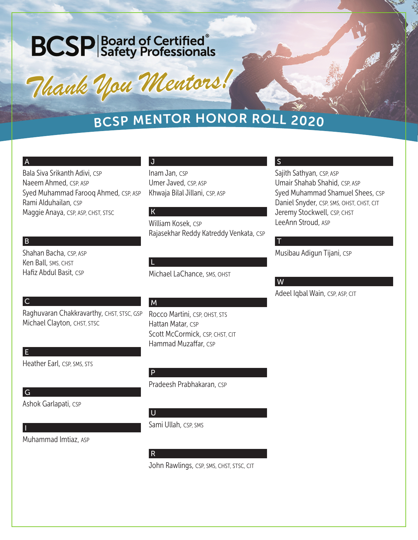# **BCSP** Board of Certified<sup>®</sup><br>
Safety Professionals

*Thank You Mentors! Thank You Mentors!*

# <sup>B</sup>CS<sup>P</sup> <sup>M</sup>ENTO<sup>R</sup> <sup>H</sup>ONO<sup>R</sup> <sup>R</sup>OL<sup>L</sup> <sup>2</sup>020

Rajasekhar Reddy Katreddy Venkata, CSP

### A

Bala Siva Srikanth Adivi, CSP Naeem Ahmed, CSP, ASP Syed Muhammad Farooq Ahmed, CSP, ASP Rami Alduhailan, CSP Maggie Anaya, CSP, ASP, CHST, STSC

## B

 $|c|$ 

Shahan Bacha, CSP, ASP Ken Ball, SMS, CHST Hafiz Abdul Basit, CSP

# M

L

J

Inam Jan, CSP

K

Umer Javed, CSP, ASP

William Kosek, CSP

Khwaja Bilal Jillani, CSP, ASP

Rocco Martini, CSP, OHST, STS Hattan Matar, CSP Scott McCormick, CSP, CHST, CIT Hammad Muzaffar, CSP

Michael LaChance, SMS, OHST

# Heather Earl, CSP, SMS, STS

# U

P

Sami Ullah, CSP, SMS

# R

John Rawlings, CSP, SMS, CHST, STSC, CIT

## S

Sajith Sathyan, CSP, ASP Umair Shahab Shahid, CSP, ASP Syed Muhammad Shamuel Shees, CSP Daniel Snyder, CSP, SMS, OHST, CHST, CIT Jeremy Stockwell, CSP, CHST LeeAnn Stroud, ASP

# Musibau Adigun Tijani, CSP

W

T

Adeel Iqbal Wain, CSP, ASP, CIT

Raghuvaran Chakkravarthy, CHST, STSC, GSP Michael Clayton, CHST, STSC

E

 $|G|$ 

I

Ashok Garlapati, CSP

Muhammad Imtiaz, ASP

Pradeesh Prabhakaran, CSP